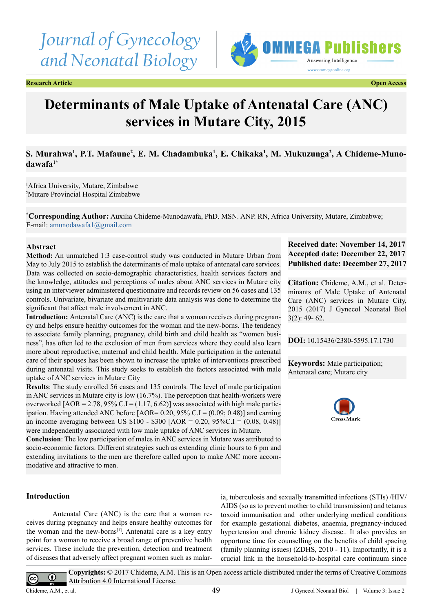# *Journal of Gynecology and Neonatal Biology*



**Research Article Open Access**

# **Determinants of Male Uptake of Antenatal Care (ANC) services in Mutare City, 2015**

# S. Murahwa<sup>1</sup>, P.T. Mafaune<sup>2</sup>, E. M. Chadambuka<sup>1</sup>, E. Chikaka<sup>1</sup>, M. Mukuzunga<sup>2</sup>, A Chideme-Muno**dawafa1\***

1 Africa University, Mutare, Zimbabwe 2 Mutare Provincial Hospital Zimbabwe

**\* Corresponding Author:** Auxilia Chideme-Munodawafa, PhD. MSN. ANP. RN, Africa University, Mutare, Zimbabwe; E-mail: [amunodawafa1@gmail.com](mailto:amunodawafa1@gmail.com)

#### **Abstract**

**Method:** An unmatched 1:3 case-control study was conducted in Mutare Urban from May to July 2015 to establish the determinants of male uptake of antenatal care services. Data was collected on socio-demographic characteristics, health services factors and the knowledge, attitudes and perceptions of males about ANC services in Mutare city using an interviewer administered questionnaire and records review on 56 cases and 135 controls. Univariate, bivariate and multivariate data analysis was done to determine the significant that affect male involvement in ANC.

**Introduction:** Antenatal Care (ANC) is the care that a woman receives during pregnancy and helps ensure healthy outcomes for the woman and the new-borns. The tendency to associate family planning, pregnancy, child birth and child health as "women business", has often led to the exclusion of men from services where they could also learn more about reproductive, maternal and child health. Male participation in the antenatal care of their spouses has been shown to increase the uptake of interventions prescribed during antenatal visits. This study seeks to establish the factors associated with male uptake of ANC services in Mutare City

**Results**: The study enrolled 56 cases and 135 controls. The level of male participation in ANC services in Mutare city is low (16.7%). The perception that health-workers were overworked  $[AOR = 2.78, 95\% \text{ C} \cdot \text{I} = (1.17, 6.62)]$  was associated with high male participation. Having attended ANC before  $[AOR = 0.20, 95\% C.I = (0.09, 0.48)]$  and earning an income averaging between US  $$100 - $300$  [AOR = 0.20, 95%C.I = (0.08, 0.48)] were independently associated with low male uptake of ANC services in Mutare.

**Conclusion**: The low participation of males in ANC services in Mutare was attributed to socio-economic factors. Different strategies such as extending clinic hours to 6 pm and extending invitations to the men are therefore called upon to make ANC more accommodative and attractive to men.

# **Introduction**

Antenatal Care (ANC) is the care that a woman receives during pregnancy and helps ensure healthy outcomes for the woman and the new-borns<sup>[\[1\]](#page-12-0)</sup>. Antenatal care is a key entry point for a woman to receive a broad range of preventive health services. These include the prevention, detection and treatment of diseases that adversely affect pregnant women such as malar-

ia, tuberculosis and sexually transmitted infections (STIs) /HIV/ AIDS (so as to prevent mother to child transmission) and tetanus toxoid immunisation and other underlying medical conditions for example gestational diabetes, anaemia, pregnancy-induced hypertension and chronic kidney disease.. It also provides an opportune time for counselling on the benefits of child spacing (family planning issues) (ZDHS, 2010 - 11). Importantly, it is a crucial link in the household-to-hospital care continuum since

# **Received date: November 14, 2017 Accepted date: December 22, 2017 Published date: December 27, 2017**

**Citation:** Chideme, A.M., et al. Determinants of Male Uptake of Antenatal Care (ANC) services in Mutare City, 2015 (2017) J Gynecol Neonatal Biol 3(2): 49- 62.

**DOI:** [10.15436/2380-5595.17.](https://doi.org/10.15436/2380-5595.17.1730)1730

**Keywords:** Male participation; Antenatal care; Mutare city



 $\odot$  $\left($ 

**Copyrights:** © 2017 Chideme, A.M. This is an Open access article distributed under the terms of Creative Commons Attribution 4.0 International License.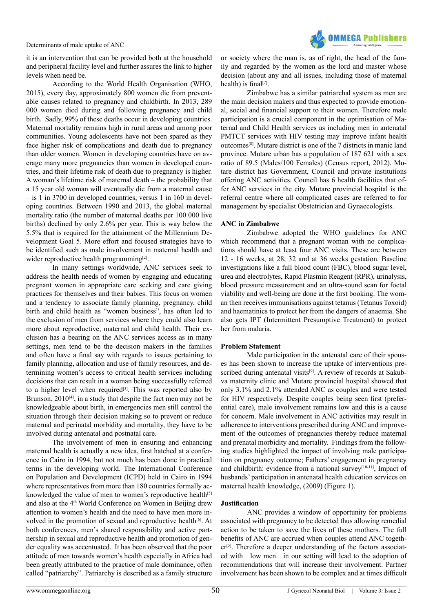

it is an intervention that can be provided both at the household and peripheral facility level and further assures the link to higher levels when need be.

According to the World Health Organisation (WHO, 2015), every day, approximately 800 women die from preventable causes related to pregnancy and childbirth. In 2013, 289 000 women died during and following pregnancy and child birth. Sadly, 99% of these deaths occur in developing countries. Maternal mortality remains high in rural areas and among poor communities. Young adolescents have not been spared as they face higher risk of complications and death due to pregnancy than older women. Women in developing countries have on average many more pregnancies than women in developed countries, and their lifetime risk of death due to pregnancy is higher. A woman's lifetime risk of maternal death – the probability that a 15 year old woman will eventually die from a maternal cause – is 1 in 3700 in developed countries, versus 1 in 160 in developing countries. Between 1990 and 2013, the global maternal mortality ratio (the number of maternal deaths per 100 000 live births) declined by only 2.6% per year. This is way below the 5.5% that is required for the attainment of the Millennium Development Goal 5. More effort and focused strategies have to be identified such as male involvement in maternal health and wider reproductive health programming<sup>[\[2\]](#page-12-1)</sup>.

In many settings worldwide, ANC services seek to address the health needs of women by engaging and educating pregnant women in appropriate care seeking and care giving practices for themselves and their babies. This focus on women and a tendency to associate family planning, pregnancy, child birth and child health as "women business", has often led to the exclusion of men from services where they could also learn more about reproductive, maternal and child health. Their exclusion has a bearing on the ANC services access as in many settings, men tend to be the decision makers in the families and often have a final say with regards to issues pertaining to family planning, allocation and use of family resources, and determining women's access to critical health services including decisions that can result in a woman being successfully referred to a higher level when required<sup>[3]</sup>. This was reported also by Brunson, 2010<sup>[4]</sup>, in a study that despite the fact men may not be knowledgeable about birth, in emergencies men still control the situation through their decision making so to prevent or reduce maternal and perinatal morbidity and mortality, they have to be involved during antenatal and postnatal care.

The involvement of men in ensuring and enhancing maternal health is actually a new idea, first hatched at a conference in Cairo in 1994, but not much has been done in practical terms in the developing world. The International Conference on Population and Development (ICPD) held in Cairo in 1994 where representatives from more than 180 countries formally ac-knowledged the value of men to women's reproductive health<sup>[\[5\]](#page-12-4)</sup> and also at the 4th World Conference on Women in Beijing drew attention to women's health and the need to have men more involved in the promotion of sexual and reproductive health<sup>[6]</sup>. At both conferences, men's shared responsibility and active partnership in sexual and reproductive health and promotion of gender equality was accentuated. It has been observed that the poor attitude of men towards women's health especially in Africa had been greatly attributed to the practice of male dominance, often called "patriarchy". Patriarchy is described as a family structure

or society where the man is, as of right, the head of the family and regarded by the women as the lord and master whose decision (about any and all issues, including those of maternal health) is final<sup>[7]</sup>.

Zimbabwe has a similar patriarchal system as men are the main decision makers and thus expected to provide emotional, social and financial support to their women. Therefore male participation is a crucial component in the optimisation of Maternal and Child Health services as including men in antenatal PMTCT services with HIV testing may improve infant health outcomes[\[8\].](#page-12-7) Mutare district is one of the 7 districts in manic land province. Mutare urban has a population of 187 621 with a sex ratio of 89.5 (Males/100 Females) (Census report, 2012). Mutare district has Government, Council and private institutions offering ANC activities. Council has 6 health facilities that offer ANC services in the city. Mutare provincial hospital is the referral centre where all complicated cases are referred to for management by specialist Obstetrician and Gynaecologists.

#### **ANC in Zimbabwe**

Zimbabwe adopted the WHO guidelines for ANC which recommend that a pregnant woman with no complications should have at least four ANC visits. These are between 12 - 16 weeks, at 28, 32 and at 36 weeks gestation. Baseline investigations like a full blood count (FBC), blood sugar level, urea and electrolytes, Rapid Plasmin Reagent (RPR), urinalysis, blood pressure measurement and an ultra-sound scan for foetal viability and well-being are done at the first booking. The woman then receives immunisations against tetanus (Tetanus Toxoid) and haematinics to protect her from the dangers of anaemia. She also gets IPT (Intermittent Presumptive Treatment) to protect her from malaria.

#### **Problem Statement**

Male participation in the antenatal care of their spouses has been shown to increase the uptake of interventions prescribed during antenatal visits<sup>[9]</sup>. A review of records at Sakubva maternity clinic and Mutare provincial hospital showed that only 3.1% and 2.1% attended ANC as couples and were tested for HIV respectively. Despite couples being seen first (preferential care), male involvement remains low and this is a cause for concern. Male involvement in ANC activities may result in adherence to interventions prescribed during ANC and improvement of the outcomes of pregnancies thereby reduce maternal and prenatal morbidity and mortality. Findings from the following studies highlighted the impact of involving male participation on pregnancy outcome; Fathers' engagement in pregnancy and childbirth: evidence from a national survey<sup>[10-11]</sup>, Impact of husbands' participation in antenatal health education services on maternal health knowledge, (2009) (Figure 1).

#### **Justification**

 ANC provides a window of opportunity for problems associated with pregnancy to be detected thus allowing remedial action to be taken to save the lives of these mothers. The full benefits of ANC are accrued when couples attend ANC togeth $er<sup>[5]</sup>$ . Therefore a deeper understanding of the factors associated with low men in our setting will lead to the adoption of recommendations that will increase their involvement. Partner involvement has been shown to be complex and at times difficult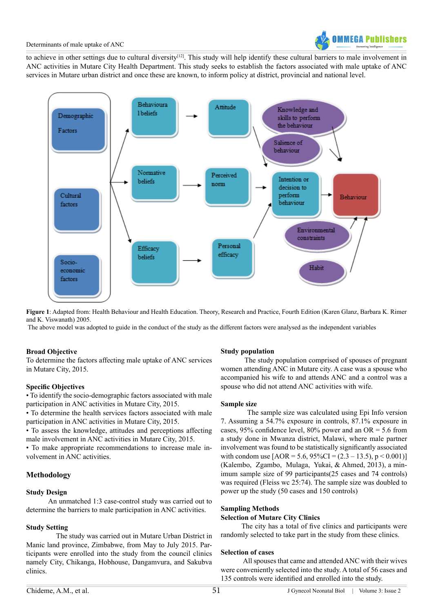to achieve in other settings due to cultural diversity<sup>[12]</sup>. This study will help identify these cultural barriers to male involvement in ANC activities in Mutare City Health Department. This study seeks to establish the factors associated with male uptake of ANC services in Mutare urban district and once these are known, to inform policy at district, provincial and national level.



**Figure 1**: Adapted from: Health Behaviour and Health Education. Theory, Research and Practice, Fourth Edition (Karen Glanz, Barbara K. Rimer and K. Viswanath) 2005.

The above model was adopted to guide in the conduct of the study as the different factors were analysed as the independent variables

#### **Broad Objective**

To determine the factors affecting male uptake of ANC services in Mutare City, 2015.

#### **Specific Objectives**

• To identify the socio-demographic factors associated with male participation in ANC activities in Mutare City, 2015.

• To determine the health services factors associated with male participation in ANC activities in Mutare City, 2015.

• To assess the knowledge, attitudes and perceptions affecting male involvement in ANC activities in Mutare City, 2015.

• To make appropriate recommendations to increase male involvement in ANC activities.

# **Methodology**

#### **Study Design**

 An unmatched 1:3 case-control study was carried out to determine the barriers to male participation in ANC activities.

#### **Study Setting**

 The study was carried out in Mutare Urban District in Manic land province, Zimbabwe, from May to July 2015. Participants were enrolled into the study from the council clinics namely City, Chikanga, Hobhouse, Dangamvura, and Sakubva clinics.

#### **Study population**

 The study population comprised of spouses of pregnant women attending ANC in Mutare city. A case was a spouse who accompanied his wife to and attends ANC and a control was a spouse who did not attend ANC activities with wife.

#### **Sample size**

 The sample size was calculated using Epi Info version 7. Assuming a 54.7% exposure in controls, 87.1% exposure in cases,  $95\%$  confidence level,  $80\%$  power and an OR = 5.6 from a study done in Mwanza district, Malawi, where male partner involvement was found to be statistically significantly associated with condom use  $[AOR = 5.6, 95\%CI = (2.3 - 13.5), p < 0.001)]$ (Kalembo, Zgambo, Mulaga, Yukai, & Ahmed, 2013), a minimum sample size of 99 participants(25 cases and 74 controls) was required (Fleiss wc 25:74). The sample size was doubled to power up the study (50 cases and 150 controls)

#### **Sampling Methods**

# **Selection of Mutare City Clinics**

 The city has a total of five clinics and participants were randomly selected to take part in the study from these clinics.

# **Selection of cases**

 All spouses that came and attended ANC with their wives were conveniently selected into the study. A total of 56 cases and 135 controls were identified and enrolled into the study.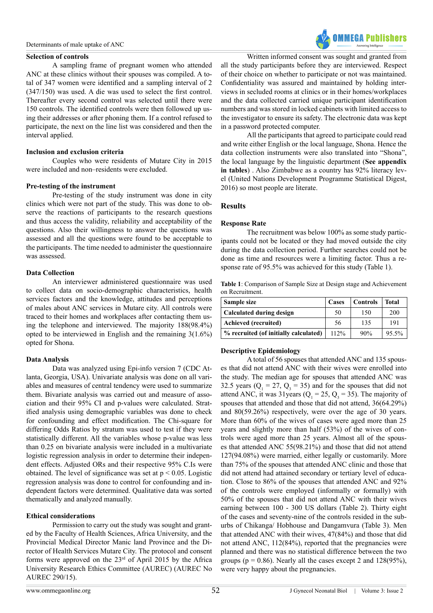#### **Selection of controls**

A sampling frame of pregnant women who attended ANC at these clinics without their spouses was compiled. A total of 347 women were identified and a sampling interval of 2 (347/150) was used. A die was used to select the first control. Thereafter every second control was selected until there were 150 controls. The identified controls were then followed up using their addresses or after phoning them. If a control refused to participate, the next on the line list was considered and then the interval applied.

# **Inclusion and exclusion criteria**

Couples who were residents of Mutare City in 2015 were included and non–residents were excluded.

# **Pre-testing of the instrument**

Pre-testing of the study instrument was done in city clinics which were not part of the study. This was done to observe the reactions of participants to the research questions and thus access the validity, reliability and acceptability of the questions. Also their willingness to answer the questions was assessed and all the questions were found to be acceptable to the participants. The time needed to administer the questionnaire was assessed.

# **Data Collection**

An interviewer administered questionnaire was used to collect data on socio-demographic characteristics, health services factors and the knowledge, attitudes and perceptions of males about ANC services in Mutare city. All controls were traced to their homes and workplaces after contacting them using the telephone and interviewed. The majority 188(98.4%) opted to be interviewed in English and the remaining 3(1.6%) opted for Shona.

#### **Data Analysis**

Data was analyzed using Epi-info version 7 (CDC Atlanta, Georgia, USA). Univariate analysis was done on all variables and measures of central tendency were used to summarize them. Bivariate analysis was carried out and measure of association and their 95% CI and p-values were calculated. Stratified analysis using demographic variables was done to check for confounding and effect modification. The Chi-square for differing Odds Ratios by stratum was used to test if they were statistically different. All the variables whose p-value was less than 0.25 on bivariate analysis were included in a multivariate logistic regression analysis in order to determine their independent effects. Adjusted ORs and their respective 95% C.Is were obtained. The level of significance was set at  $p < 0.05$ . Logistic regression analysis was done to control for confounding and independent factors were determined. Qualitative data was sorted thematically and analyzed manually.

# **Ethical considerations**

Permission to carry out the study was sought and granted by the Faculty of Health Sciences, Africa University, and the Provincial Medical Director Manic land Province and the Director of Health Services Mutare City. The protocol and consent forms were approved on the 23rd of April 2015 by the Africa University Research Ethics Committee (AUREC) (AUREC No AUREC 290/15).

Written informed consent was sought and granted from all the study participants before they are interviewed. Respect of their choice on whether to participate or not was maintained. Confidentiality was assured and maintained by holding interviews in secluded rooms at clinics or in their homes/workplaces and the data collected carried unique participant identification numbers and was stored in locked cabinets with limited access to the investigator to ensure its safety. The electronic data was kept in a password protected computer.

**OMMFGA Publishers** 

<span id="page-3-0"></span>All the participants that agreed to participate could read and write either English or the local language, Shona. Hence the data collection instruments were also translated into "Shona", the local language by the linguistic department (**See appendix in tables**[\)](#page-9-0) . Also Zimbabwe as a country has 92% literacy level (United Nations Development Programme Statistical Digest, 2016) so most people are literate.

# **Results**

#### **Response Rate**

The recruitment was below 100% as some study participants could not be located or they had moved outside the city during the data collection period. Further searches could not be done as time and resources were a limiting factor. Thus a response rate of 95.5% was achieved for this study (Table 1).

**Table 1**: Comparison of Sample Size at Design stage and Achievement on Recruitment.

| Sample size                           | Cases | <b>Controls</b> | <b>Total</b> |
|---------------------------------------|-------|-----------------|--------------|
| Calculated during design              | 50    | 150             | 200          |
| Achieved (recruited)                  | 56    | 135             | 191          |
| % recruited (of initially calculated) | 112%  | 90%             | 95.5%        |

# **Descriptive Epidemiology**

A total of 56 spouses that attended ANC and 135 spouses that did not attend ANC with their wives were enrolled into the study. The median age for spouses that attended ANC was 32.5 years ( $Q_1 = 27$ ,  $Q_3 = 35$ ) and for the spouses that did not attend ANC, it was 31 years  $(Q_1 = 25, Q_3 = 35)$ . The majority of spouses that attended and those that did not attend, 36(64.29%) and 80(59.26%) respectively, were over the age of 30 years. More than 60% of the wives of cases were aged more than 25 years and slightly more than half (53%) of the wives of controls were aged more than 25 years. Almost all of the spouses that attended ANC 55(98.21%) and those that did not attend 127(94.08%) were married, either legally or customarily. More than 75% of the spouses that attended ANC clinic and those that did not attend had attained secondary or tertiary level of education. Close to 86% of the spouses that attended ANC and 92% of the controls were employed (informally or formally) with 50% of the spouses that did not attend ANC with their wives earning between 100 - 300 US dollars (Table 2). Thirty eight of the cases and seventy-nine of the controls resided in the suburbs of Chikanga/ Hobhouse and Dangamvura (Table 3). Men that attended ANC with their wives, 47(84%) and those that did not attend ANC, 112(84%), reported that the pregnancies were planned and there was no statistical difference between the two groups ( $p = 0.86$ ). Nearly all the cases except 2 and 128(95%), were very happy about the pregnancies.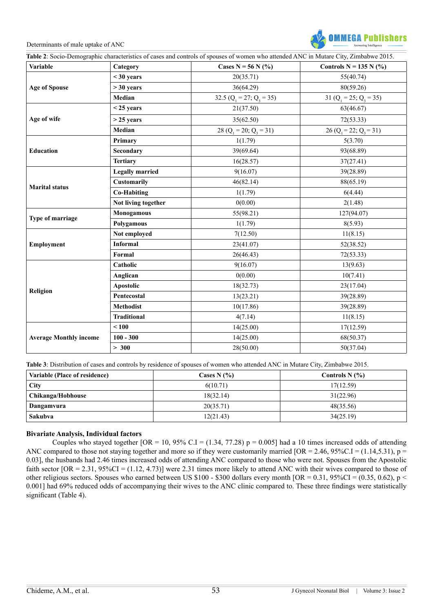

| <b>Variable</b>               | Category               | Cases N = 56 N $(\frac{6}{6})$ | Controls $N = 135 N$ (%)       |  |
|-------------------------------|------------------------|--------------------------------|--------------------------------|--|
|                               | $<$ 30 years           | 20(35.71)                      | 55(40.74)                      |  |
| <b>Age of Spouse</b>          | $>$ 30 years           | 36(64.29)                      | 80(59.26)                      |  |
| Type of marriage              | Median                 | 32.5 $(Q_1 = 27; Q_3 = 35)$    | 31 ( $Q_1 = 25$ ; $Q_3 = 35$ ) |  |
|                               | $<$ 25 years           | 21(37.50)                      | 63(46.67)                      |  |
| Age of wife                   | $>$ 25 years           | 35(62.50)                      | 72(53.33)                      |  |
|                               | Median                 | 28 ( $Q_1 = 20$ ; $Q_3 = 31$ ) | 26 ( $Q_1 = 22$ ; $Q_3 = 31$ ) |  |
|                               | Primary                | 1(1.79)                        | 5(3.70)                        |  |
| Education                     | Secondary              | 39(69.64)                      | 93(68.89)                      |  |
|                               | <b>Tertiary</b>        | 16(28.57)                      | 37(27.41)                      |  |
|                               | <b>Legally married</b> | 9(16.07)                       | 39(28.89)                      |  |
| <b>Marital status</b>         | <b>Customarily</b>     | 46(82.14)                      | 88(65.19)                      |  |
|                               | <b>Co-Habiting</b>     | 1(1.79)                        | 6(4.44)                        |  |
|                               | Not living together    | 0(0.00)                        | 2(1.48)                        |  |
|                               | Monogamous             | 55(98.21)                      | 127(94.07)                     |  |
|                               | Polygamous             | 1(1.79)                        | 8(5.93)                        |  |
|                               | Not employed           | 7(12.50)                       | 11(8.15)                       |  |
| <b>Employment</b>             | <b>Informal</b>        | 23(41.07)                      | 52(38.52)                      |  |
|                               | Formal                 | 26(46.43)                      | 72(53.33)                      |  |
|                               | Catholic               | 9(16.07)                       | 13(9.63)                       |  |
|                               | Anglican               | 0(0.00)                        | 10(7.41)                       |  |
|                               | Apostolic              | 18(32.73)                      | 23(17.04)                      |  |
| Religion                      | Pentecostal            | 13(23.21)                      | 39(28.89)                      |  |
|                               | <b>Methodist</b>       | 10(17.86)                      | 39(28.89)                      |  |
|                               | <b>Traditional</b>     | 4(7.14)                        | 11(8.15)                       |  |
|                               | < 100                  | 14(25.00)                      | 17(12.59)                      |  |
| <b>Average Monthly income</b> | $100 - 300$            | 14(25.00)                      | 68(50.37)                      |  |
|                               | > 300                  | 28(50.00)                      | 50(37.04)                      |  |

**Table 3**: Distribution of cases and controls by residence of spouses of women who attended ANC in Mutare City, Zimbabwe 2015.

| Variable (Place of residence) | Cases N (%) | Controls N (%) |
|-------------------------------|-------------|----------------|
| <b>City</b>                   | 6(10.71)    | 17(12.59)      |
| Chikanga/Hobhouse             | 18(32.14)   | 31(22.96)      |
| Dangamvura                    | 20(35.71)   | 48(35.56)      |
| <b>Sakubva</b>                | 12(21.43)   | 34(25.19)      |

#### **Bivariate Analysis, Individual factors**

Couples who stayed together  $[OR = 10, 95\% \text{ C}]\ = (1.34, 77.28) \text{ p} = 0.005$  had a 10 times increased odds of attending ANC compared to those not staying together and more so if they were customarily married  $[OR = 2.46, 95\% \text{C} \cdot \text{I} = (1.14, 5.31), p =$ 0.03], the husbands had 2.46 times increased odds of attending ANC compared to those who were not. Spouses from the Apostolic faith sector  $[OR = 2.31, 95\%CI = (1.12, 4.73)]$  were 2.31 times more likely to attend ANC with their wives compared to those of other religious sectors. Spouses who earned between US \$100 - \$300 dollars every month  $[OR = 0.31, 95\% CI = (0.35, 0.62), p <$ 0.001] had 69% reduced odds of accompanying their wives to the ANC clinic compared to. These three findings were statistically significant (Table 4).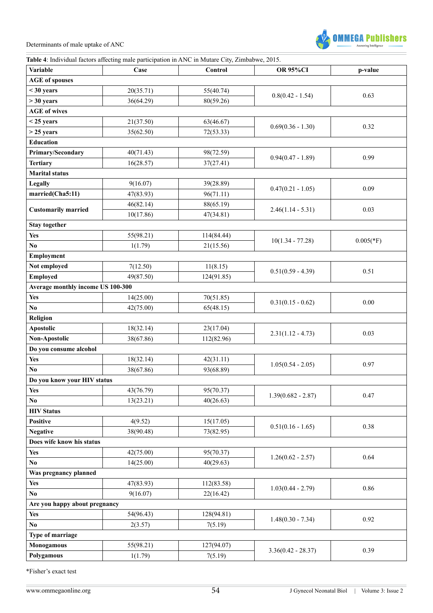

# **Table 4**: Individual factors affecting male participation in ANC in Mutare City, Zimbabwe, 2015.

| <b>Variable</b>                      | Case                 | Control                | <b>OR 95%CI</b>                                                                                                                                                                      | p-value      |  |
|--------------------------------------|----------------------|------------------------|--------------------------------------------------------------------------------------------------------------------------------------------------------------------------------------|--------------|--|
| <b>AGE</b> of spouses                |                      |                        |                                                                                                                                                                                      |              |  |
| $<$ 30 years                         | 20(35.71)            | 55(40.74)              |                                                                                                                                                                                      | 0.63         |  |
| $>$ 30 years                         | 36(64.29)            | 80(59.26)              | $0.8(0.42 - 1.54)$                                                                                                                                                                   |              |  |
| <b>AGE</b> of wives                  |                      |                        |                                                                                                                                                                                      |              |  |
| $<$ 25 years                         | 21(37.50)            | 63(46.67)              | $0.69(0.36 - 1.30)$                                                                                                                                                                  | 0.32         |  |
| $>$ 25 years                         | 35(62.50)            | 72(53.33)              |                                                                                                                                                                                      |              |  |
| <b>Education</b>                     |                      |                        |                                                                                                                                                                                      |              |  |
| Primary/Secondary                    | 40(71.43)            | 98(72.59)              | $0.94(0.47 - 1.89)$                                                                                                                                                                  | 0.99         |  |
| <b>Tertiary</b>                      | 16(28.57)            | 37(27.41)              |                                                                                                                                                                                      |              |  |
| <b>Marital status</b>                |                      |                        |                                                                                                                                                                                      |              |  |
| Legally                              | 9(16.07)             | 39(28.89)              |                                                                                                                                                                                      | 0.09         |  |
| married(Cha5:11)                     | 47(83.93)            | 96(71.11)              |                                                                                                                                                                                      |              |  |
| <b>Customarily married</b>           | 46(82.14)            | 88(65.19)              |                                                                                                                                                                                      | 0.03         |  |
|                                      | 10(17.86)            | 47(34.81)              | $0.47(0.21 - 1.05)$<br>$2.46(1.14 - 5.31)$<br>$10(1.34 - 77.28)$<br>$0.51(0.59 - 4.39)$<br>$0.31(0.15 - 0.62)$<br>$2.31(1.12 - 4.73)$<br>$1.05(0.54 - 2.05)$<br>$1.39(0.682 - 2.87)$ |              |  |
| <b>Stay together</b>                 |                      |                        |                                                                                                                                                                                      |              |  |
| <b>Yes</b>                           | 55(98.21)            | 114(84.44)             |                                                                                                                                                                                      | $0.005$ (*F) |  |
| No.                                  | 1(1.79)              | 21(15.56)              |                                                                                                                                                                                      |              |  |
| Employment                           |                      |                        |                                                                                                                                                                                      |              |  |
| Not employed                         | 7(12.50)             | 11(8.15)               |                                                                                                                                                                                      | 0.51         |  |
| <b>Employed</b>                      | 49(87.50)            | 124(91.85)             |                                                                                                                                                                                      |              |  |
| Average monthly income US 100-300    |                      |                        |                                                                                                                                                                                      |              |  |
| <b>Yes</b>                           | 14(25.00)            | 70(51.85)              |                                                                                                                                                                                      | 0.00         |  |
| No.                                  | 42(75.00)            | 65(48.15)              |                                                                                                                                                                                      |              |  |
| Religion                             |                      |                        |                                                                                                                                                                                      |              |  |
| <b>Apostolic</b>                     | 18(32.14)            | 23(17.04)              |                                                                                                                                                                                      | 0.03         |  |
| Non-Apostolic                        | 38(67.86)            | 112(82.96)             |                                                                                                                                                                                      |              |  |
| Do you consume alcohol               |                      |                        |                                                                                                                                                                                      |              |  |
| Yes                                  | 18(32.14)            | 42(31.11)              |                                                                                                                                                                                      | 0.97         |  |
| No.                                  | 38(67.86)            | 93(68.89)              |                                                                                                                                                                                      |              |  |
| Do you know your HIV status          |                      |                        |                                                                                                                                                                                      |              |  |
| <b>Yes</b>                           | 43(76.79)            | 95(70.37)              |                                                                                                                                                                                      | 0.47         |  |
| No                                   | 13(23.21)            | 40(26.63)              |                                                                                                                                                                                      |              |  |
| <b>HIV Status</b><br><b>Positive</b> |                      |                        |                                                                                                                                                                                      |              |  |
| <b>Negative</b>                      | 4(9.52)<br>38(90.48) | 15(17.05)<br>73(82.95) | $0.51(0.16 - 1.65)$                                                                                                                                                                  | 0.38         |  |
| Does wife know his status            |                      |                        |                                                                                                                                                                                      |              |  |
| <b>Yes</b>                           | 42(75.00)            | 95(70.37)              |                                                                                                                                                                                      |              |  |
| No                                   | 14(25.00)            | 40(29.63)              | $1.26(0.62 - 2.57)$                                                                                                                                                                  | 0.64         |  |
| Was pregnancy planned                |                      |                        |                                                                                                                                                                                      |              |  |
| <b>Yes</b>                           | 47(83.93)            | 112(83.58)             |                                                                                                                                                                                      |              |  |
| No.                                  | 9(16.07)             | 22(16.42)              | $1.03(0.44 - 2.79)$                                                                                                                                                                  | 0.86         |  |
| Are you happy about pregnancy        |                      |                        |                                                                                                                                                                                      |              |  |
| <b>Yes</b>                           | 54(96.43)            | 128(94.81)             |                                                                                                                                                                                      |              |  |
| No.                                  | 2(3.57)              | 7(5.19)                | $1.48(0.30 - 7.34)$                                                                                                                                                                  | 0.92         |  |
| Type of marriage                     |                      |                        |                                                                                                                                                                                      |              |  |
| <b>Monogamous</b>                    | 55(98.21)            | 127(94.07)             |                                                                                                                                                                                      |              |  |
| Polygamous                           | 1(1.79)              | 7(5.19)                | $3.36(0.42 - 28.37)$                                                                                                                                                                 | 0.39         |  |
|                                      |                      |                        |                                                                                                                                                                                      |              |  |

\*Fisher's exact test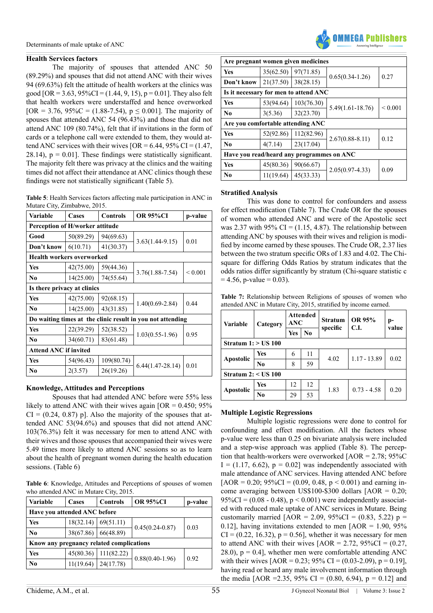#### **Health Services factors**

The majority of spouses that attended ANC 50 (89.29%) and spouses that did not attend ANC with their wives 94 (69.63%) felt the attitude of health workers at the clinics was good  $[OR = 3.63, 95\%CI = (1.44, 9, 15), p = 0.01]$ . They also felt that health workers were understaffed and hence overworked [OR = 3.76, 95%C = (1.88-7.54),  $p \le 0.001$ ]. The majority of spouses that attended ANC 54 (96.43%) and those that did not attend ANC 109 (80.74%), felt that if invitations in the form of cards or a telephone call were extended to them, they would attend ANC services with their wives  $[OR = 6.44, 95\% \text{ CI} = (1.47,$ 28.14),  $p = 0.01$ . These findings were statistically significant. The majority felt there was privacy at the clinics and the waiting times did not affect their attendance at ANC clinics though these findings were not statistically significant (Table 5).

**Table 5**: Health Services factors affecting male participation in ANC in Mutare City, Zimbabwe, 2015.

| Variable                         | Cases     | Controls   | <b>OR 95%CI</b>                                            | p-value      |  |
|----------------------------------|-----------|------------|------------------------------------------------------------|--------------|--|
| Perception of H/worker attitude  |           |            |                                                            |              |  |
| Good                             | 50(89.29) | 94(69.63)  |                                                            |              |  |
| Don't know                       | 6(10.71)  | 41(30.37)  | $3.63(1.44-9.15)$                                          | 0.01         |  |
| <b>Health workers overworked</b> |           |            |                                                            |              |  |
| <b>Yes</b>                       | 42(75.00) | 59(44.36)  |                                                            |              |  |
| N <sub>0</sub>                   | 14(25.00) | 74(55.64)  | $3.76(1.88 - 7.54)$                                        | ${}_{0.001}$ |  |
| Is there privacy at clinics      |           |            |                                                            |              |  |
| <b>Yes</b>                       | 42(75.00) | 92(68.15)  |                                                            | 0.44         |  |
| N <sub>0</sub>                   | 14(25.00) | 43(31.85)  | $1.40(0.69 - 2.84)$                                        |              |  |
|                                  |           |            | Do waiting times at the clinic result in you not attending |              |  |
| <b>Yes</b>                       | 22(39.29) | 52(38.52)  |                                                            |              |  |
| N <sub>0</sub>                   | 34(60.71) | 83(61.48)  | $1.03(0.55-1.96)$                                          | 0.95         |  |
| <b>Attend ANC if invited</b>     |           |            |                                                            |              |  |
| <b>Yes</b>                       | 54(96.43) | 109(80.74) |                                                            | 0.01         |  |
| N <sub>0</sub>                   | 2(3.57)   | 26(19.26)  | $6.44(1.47-28.14)$                                         |              |  |

# **Knowledge, Attitudes and Perceptions**

Spouses that had attended ANC before were 55% less likely to attend ANC with their wives again  $[OR = 0.450; 95\%]$  $CI = (0.24, 0.87)$  p]. Also the majority of the spouses that attended ANC 53(94.6%) and spouses that did not attend ANC 103(76.3%) felt it was necessary for men to attend ANC with their wives and those spouses that accompanied their wives were 5.49 times more likely to attend ANC sessions so as to learn about the health of pregnant women during the health education sessions. (Table 6)

**Table 6**: Knowledge, Attitudes and Perceptions of spouses of women who attended ANC in Mutare City, 2015.

| <b>Variable</b>              | Cases                                    | <b>Controls</b> | <b>OR 95%CI</b>     | p-value |  |  |  |
|------------------------------|------------------------------------------|-----------------|---------------------|---------|--|--|--|
| Have you attended ANC before |                                          |                 |                     |         |  |  |  |
| Yes                          | 18(32.14)                                | 69(51.11)       |                     | 0.03    |  |  |  |
| No                           | 38(67.86)                                | 66(48.89)       | $0.45(0.24 - 0.87)$ |         |  |  |  |
|                              | Know any pregnancy related complications |                 |                     |         |  |  |  |
| Yes                          | 45(80.36)                                | 111(82.22)      | $0.88(0.40-1.96)$   | 0.92    |  |  |  |
| No                           | 11(19.64)                                | 24(17.78)       |                     |         |  |  |  |



| Are pregnant women given medicines        |           |            |                      |             |  |  |  |
|-------------------------------------------|-----------|------------|----------------------|-------------|--|--|--|
| <b>Yes</b>                                | 35(62.50) | 97(71.85)  |                      | 0.27        |  |  |  |
| Don't know                                | 21(37.50) | 38(28.15)  | $0.65(0.34-1.26)$    |             |  |  |  |
| Is it necessary for men to attend ANC     |           |            |                      |             |  |  |  |
| <b>Yes</b>                                | 53(94.64) | 103(76.30) |                      | ${}< 0.001$ |  |  |  |
| N <sub>0</sub>                            | 3(5.36)   | 32(23.70)  | $5.49(1.61 - 18.76)$ |             |  |  |  |
| Are you comfortable attending ANC         |           |            |                      |             |  |  |  |
| <b>Yes</b>                                | 52(92.86) | 112(82.96) |                      |             |  |  |  |
| N <sub>0</sub>                            | 4(7.14)   | 23(17.04)  | $2.67(0.88 - 8.11)$  | 0.12        |  |  |  |
| Have you read/heard any programmes on ANC |           |            |                      |             |  |  |  |
| Yes                                       | 45(80.36) | 90(66.67)  |                      |             |  |  |  |
| No                                        | 11(19.64) | 45(33.33)  | $2.05(0.97 - 4.33)$  | 0.09        |  |  |  |

#### **Stratified Analysis**

This was done to control for confounders and assess for effect modification (Table 7). The Crude OR for the spouses of women who attended ANC and were of the Apostolic sect was 2.37 with 95%  $CI = (1.15, 4.87)$ . The relationship between attending ANC by spouses with their wives and religion is modified by income earned by these spouses. The Crude OR, 2.37 lies between the two stratum specific ORs of 1.83 and 4.02. The Chisquare for differing Odds Ratios by stratum indicates that the odds ratios differ significantly by stratum (Chi-square statistic c  $= 4.56$ , p-value  $= 0.03$ ).

**Table 7:** Relationship between Religions of spouses of women who attended ANC in Mutare City, 2015, stratified by income earned.

| Variable              | Category | Attended<br>ANC |                | <b>Stratum</b> | OR 95%<br>C.I. | p-    |  |
|-----------------------|----------|-----------------|----------------|----------------|----------------|-------|--|
|                       |          | Yes             | N <sub>0</sub> | specific       |                | value |  |
| Stratum $1:$ > US 100 |          |                 |                |                |                |       |  |
|                       | Yes      | 6               | 11             | 4.02           | $1.17 - 13.89$ | 0.02  |  |
| <b>Apostolic</b>      | No       | 8               | 59             |                |                |       |  |
| Stratum $2: <$ US 100 |          |                 |                |                |                |       |  |
|                       | Yes      | 12              | 12             |                |                | 0.20  |  |
| Apostolic             | No       | 29              | 53             | 1.83           | $0.73 - 4.58$  |       |  |

# **Multiple Logistic Regressions**

Multiple logistic regressions were done to control for confounding and effect modification. All the factors whose p-value were less than 0.25 on bivariate analysis were included and a step-wise approach was applied (Table 8). The perception that health-workers were overworked  $[AOR = 2.78; 95\%C$  $I = (1.17, 6.62), p = 0.02$ ] was independently associated with male attendance of ANC services. Having attended ANC before  $[AOR = 0.20; 95\%CI = (0.09, 0.48, p < 0.001)$  and earning income averaging between US\$100-\$300 dollars [AOR = 0.20;  $95\%CI = (0.08 - 0.48), p < 0.001$  were independently associated with reduced male uptake of ANC services in Mutare. Being customarily married  $[AOR = 2.09, 95\%CI = (0.83, 5.22) p =$ 0.12], having invitations extended to men  $[AOR = 1.90, 95\%]$  $CI = (0.22, 16.32), p = 0.56$ , whether it was necessary for men to attend ANC with their wives  $[AOR = 2.72, 95\%CI = (0.27,$ 28.0),  $p = 0.4$ , whether men were comfortable attending ANC with their wives  $[AOR = 0.23; 95\% \text{ CI} = (0.03-2.09), p = 0.19]$ , having read or heard any male involvement information through the media  $[AOR = 2.35, 95\% \text{ CI} = (0.80, 6.94), p = 0.12]$  and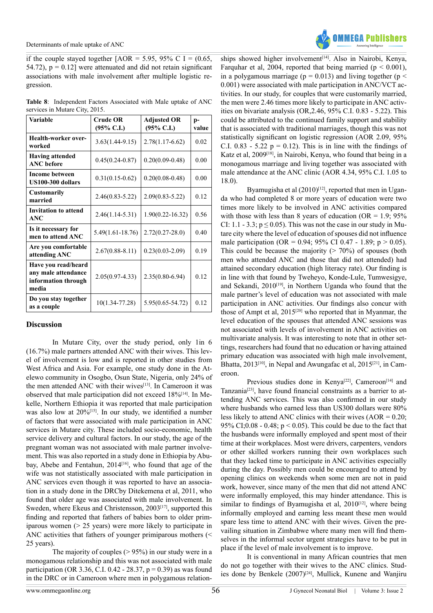if the couple stayed together  $[AOR = 5.95, 95\% \text{ C}] = (0.65,$ 54.72),  $p = 0.12$  were attenuated and did not retain significant associations with male involvement after multiple logistic regression.

| <b>Table 8:</b> Independent Factors Associated with Male uptake of ANC |  |  |  |
|------------------------------------------------------------------------|--|--|--|
| services in Mutare City, 2015.                                         |  |  |  |

| <b>Variable</b>                                                            | <b>Crude OR</b><br>$(95\% \text{ C.I.})$ | <b>Adjusted OR</b><br>$(95\% \text{ C.I.})$ | p-<br>value |
|----------------------------------------------------------------------------|------------------------------------------|---------------------------------------------|-------------|
| Health-worker over-<br>worked                                              | $3.63(1.44-9.15)$                        | $2.78(1.17-6.62)$                           | 0.02        |
| <b>Having attended</b><br><b>ANC</b> before                                | $0.45(0.24 - 0.87)$                      | $0.20(0.09 - 0.48)$                         | 0.00        |
| <b>Income between</b><br>US100-300 dollars                                 | $0.31(0.15-0.62)$                        | $0.20(0.08 - 0.48)$                         | 0.00        |
| <b>Customarily</b><br>married                                              | $2.46(0.83 - 5.22)$                      | $2.09(0.83 - 5.22)$                         | 0.12        |
| <b>Invitation to attend</b><br>$\bf ANC$                                   | $2.46(1.14 - 5.31)$                      | $1.90(0.22 - 16.32)$                        | 0.56        |
| Is it necessary for<br>men to attend ANC                                   | $5.49(1.61 - 18.76)$                     | $2.72(0.27 - 28.0)$                         | 0.40        |
| Are you comfortable<br>attending ANC                                       | $2.67(0.88 - 8.11)$                      | $0.23(0.03 - 2.09)$                         | 0.19        |
| Have you read/heard<br>any male attendance<br>information through<br>media | $2.05(0.97 - 4.33)$                      | $2.35(0.80 - 6.94)$                         | 0.12        |
| Do you stay together<br>as a couple                                        | 10(1.34-77.28)                           | $5.95(0.65 - 54.72)$                        | 0.12        |

#### **Discussion**

In Mutare City, over the study period, only 1in 6 (16.7%) male partners attended ANC with their wives. This level of involvement is low and is reported in other studies from West Africa and Asia. For example, one study done in the Atelewo community in Osogbo, Osun State, Nigeria, only 24% of the men attended ANC with their wives<sup>[\[13\]](#page-12-12)</sup>. In Cameroon it was observed that male participation did not exceed 18%<sup>[\[14\]](#page-12-11)</sup>. In Mekelle, Northern Ethiopia it was reported that male participation was also low at  $20\%$ <sup>[15]</sup>. In our study, we identified a number of factors that were associated with male participation in ANC services in Mutare city. These included socio-economic, health service delivery and cultural factors. In our study, the age of the pregnant woman was not associated with male partner involvement. This was also reported in a study done in Ethiopia by Abubay, Abebe and Fentahun, 2014<sup>[16]</sup>, who found that age of the wife was not statistically associated with male participation in ANC services even though it was reported to have an association in a study done in the DRCby Ditekemena et al, 2011, who found that older age was associated with male involvement. In Sweden, where Ekeus and Christensson, 2003<sup>[17]</sup>, supported this finding and reported that fathers of babies born to older primiparous women (> 25 years) were more likely to participate in ANC activities that fathers of younger primiparous mothers (< 25 years).

The majority of couples  $(> 95\%)$  in our study were in a monogamous relationship and this was not associated with male participation (OR 3.36, C.I. 0.42 - 28.37,  $p = 0.39$ ) as was found in the DRC or in Cameroon where men in polygamous relation-



ships showed higher involvement<sup>[\[14\]](#page-12-11)</sup>. Also in Nairobi, Kenya, Farquhar et al, 2004, reported that being married ( $p < 0.001$ ), in a polygamous marriage ( $p = 0.013$ ) and living together ( $p <$ 0.001) were associated with male participation in ANC/VCT activities. In our study, for couples that were customarily married, the men were 2.46 times more likely to participate in ANC activities on bivariate analysis (OR,2.46, 95% C.I. 0.83 - 5.22). This could be attributed to the continued family support and stability that is associated with traditional marriages, though this was not statistically significant on logistic regression (AOR 2.09, 95% C.I. 0.83 - 5.22  $p = 0.12$ ). This is in line with the findings of Katz et al, 2009[\[18\]](#page-13-0), in Nairobi, Kenya, who found that being in a monogamous marriage and living together was associated with male attendance at the ANC clinic (AOR 4.34, 95% C.I. 1.05 to 18.0).

Byamugisha et al  $(2010)^{[12]}$ , reported that men in Uganda who had completed 8 or more years of education were two times more likely to be involved in ANC activities compared with those with less than 8 years of education ( $OR = 1.9$ ;  $95\%$ CI: 1.1 - 3.3;  $p \le 0.05$ ). This was not the case in our study in Mutare city where the level of education of spouses did not influence male participation (OR = 0.94; 95% CI 0.47 - 1.89;  $p > 0.05$ ). This could be because the majority  $(2.70\%)$  of spouses (both men who attended ANC and those that did not attended) had attained secondary education (high literacy rate). Our finding is in line with that found by Tweheyo, Konde-Lule, Tumwesigye, and Sekandi, 2010<sup>[19]</sup>, in Northern Uganda who found that the male partner's level of education was not associated with male participation in ANC activities. Our findings also concur with those of Ampt et al, 201[5\[20\]](#page-13-2) who reported that in Myanmar, the level education of the spouses that attended ANC sessions was not associated with levels of involvement in ANC activities on multivariate analysis. It was interesting to note that in other settings, researchers had found that no education or having attained primary education was associated with high male involvement, Bhatta, 2013<sup>[\[10\]](#page-12-9)</sup>, in Nepal and Awungafac et al, 2015<sup>[21]</sup>, in Cameroon.

Previous studies done in Kenya<sup>[\[22\]](#page-13-4)</sup>, Cameroon<sup>[14]</sup> and Tanzania<sup>[\[23\]](#page-13-5)</sup>, have found financial constraints as a barrier to attending ANC services. This was also confirmed in our study where husbands who earned less than US300 dollars were 80% less likely to attend ANC clinics with their wives (AOR = 0.20; 95% CI;  $0.08 - 0.48$ ;  $p < 0.05$ ). This could be due to the fact that the husbands were informally employed and spent most of their time at their workplaces. Most were drivers, carpenters, vendors or other skilled workers running their own workplaces such that they lacked time to participate in ANC activities especially during the day. Possibly men could be encouraged to attend by opening clinics on weekends when some men are not in paid work, however, since many of the men that did not attend ANC were informally employed, this may hinder attendance. This is similar to findings of Byamugisha et al,  $2010^{[12]}$ , where being informally employed and earning less meant these men would spare less time to attend ANC with their wives. Given the prevailing situation in Zimbabwe where many men will find themselves in the informal sector urgent strategies have to be put in place if the level of male involvement is to improve.

It is conventional in many African countries that men do not go together with their wives to the ANC clinics. Studies done by Benkele  $(2007)^{[24]}$  $(2007)^{[24]}$  $(2007)^{[24]}$ , Mullick, Kunene and Wanjiru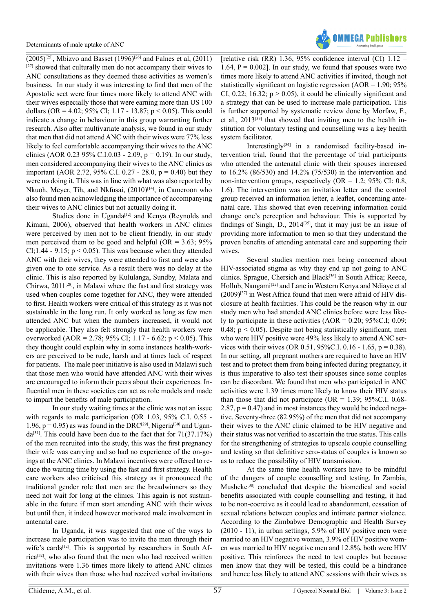

 $(2005)^{[25]}$  $(2005)^{[25]}$  $(2005)^{[25]}$ , Mbizvo and Basset (1996)<sup>[26]</sup> and Falnes et al, (2011)  $[27]$  showed that culturally men do not accompany their wives to ANC consultations as they deemed these activities as women's business. In our study it was interesting to find that men of the Apostolic sect were four times more likely to attend ANC with their wives especially those that were earning more than US 100 dollars (OR = 4.02; 95% CI; 1.17 - 13.87; p < 0.05). This could indicate a change in behaviour in this group warranting further research. Also after multivariate analysis, we found in our study that men that did not attend ANC with their wives were 77% less likely to feel comfortable accompanying their wives to the ANC clinics (AOR 0.23 95% C.I.0.03 - 2.09,  $p = 0.19$ ). In our study, men considered accompanying their wives to the ANC clinics as important (AOR 2.72, 95% C.I. 0.27 - 28.0,  $p = 0.40$ ) but they were no doing it. This was in line with what was also reported by Nkuoh, Meyer, Tih, and Nkfusai,  $(2010)^{[14]}$ , in Cameroon who also found men acknowledging the importance of accompanying their wives to ANC clinics but not actually doing it.

Studies done in Uganda<sup>[12]</sup> and Kenya (Reynolds and Kimani, 2006), observed that health workers in ANC clinics were perceived by men not to be client friendly, in our study men perceived them to be good and helpful (OR =  $3.63$ ; 95% CI;1.44 - 9.15;  $p < 0.05$ ). This was because when they attended ANC with their wives, they were attended to first and were also given one to one service. As a result there was no delay at the clinic. This is also reported by Kululanga, Sundby, Malata and Chirwa,  $2011^{[28]}$ , in Malawi where the fast and first strategy was used when couples come together for ANC, they were attended to first. Health workers were critical of this strategy as it was not sustainable in the long run. It only worked as long as few men attended ANC but when the numbers increased, it would not be applicable. They also felt strongly that health workers were overworked (AOR = 2.78; 95% CI; 1.17 - 6.62; p < 0.05). This they thought could explain why in some instances health-workers are perceived to be rude, harsh and at times lack of respect for patients. The male peer initiative is also used in Malawi such that those men who would have attended ANC with their wives are encouraged to inform their peers about their experiences. Influential men in these societies can act as role models and made to impart the benefits of male participation.

In our study waiting times at the clinic was not an issue with regards to male participation (OR 1.03, 95% C.I. 0.55 - 1.96,  $p = 0.95$ ) as was found in the DRC<sup>[29]</sup>, Nigeria<sup>[30]</sup> and Ugan $da^{[31]}$ . This could have been due to the fact that for  $71(37.17%)$ of the men recruited into the study, this was the first pregnancy their wife was carrying and so had no experience of the on-goings at the ANC clinics. In Malawi incentives were offered to reduce the waiting time by using the fast and first strategy. Health care workers also criticised this strategy as it pronounced the traditional gender role that men are the breadwinners so they need not wait for long at the clinics. This again is not sustainable in the future if men start attending ANC with their wives but until then, it indeed however motivated male involvement in antenatal care.

In Uganda, it was suggested that one of the ways to increase male participation was to invite the men through their wife's cards<sup>[12]</sup>. This is supported by researchers in South Africa<sup>[32]</sup>, who also found that the men who had received written invitations were 1.36 times more likely to attend ANC clinics with their wives than those who had received verbal invitations

[relative risk (RR) 1.36, 95% confidence interval (CI)  $1.12$  – 1.64,  $P = 0.002$ ]. In our study, we found that spouses were two times more likely to attend ANC activities if invited, though not statistically significant on logistic regression  $(AOR = 1.90; 95\%)$ CI, 0.22; 16.32;  $p > 0.05$ ), it could be clinically significant and a strategy that can be used to increase male participation. This is further supported by systematic review done by Morfaw, F., et al., 2013[\[33\]](#page-13-17) that showed that inviting men to the health institution for voluntary testing and counselling was a key health system facilitator.

Interestingly $[34]$  in a randomised facility-based intervention trial, found that the percentage of trial participants who attended the antenatal clinic with their spouses increased to 16.2% (86/530) and 14.2% (75/530) in the intervention and non-intervention groups, respectively (OR =  $1.2$ ; 95% CI: 0.8, 1.6). The intervention was an invitation letter and the control group received an information letter, a leaflet, concerning antenatal care. This showed that even receiving information could change one's perception and behaviour. This is supported by findings of Singh, D.,  $2014^{[35]}$  $2014^{[35]}$  $2014^{[35]}$ , that it may just be an issue of providing more information to men so that they understand the proven benefits of attending antenatal care and supporting their wives.

Several studies mention men being concerned about HIV-associated stigma as why they end up not going to ANC clinics. Sprague, Chersich and Black<sup>[36]</sup> in South Africa; Reece, Hollub, Nangami<sup>[\[22\]](#page-13-4)</sup> and Lane in Western Kenya and Ndiaye et al  $(2009)^{[37]}$  in West Africa found that men were afraid of HIV disclosure at health facilities. This could be the reason why in our study men who had attended ANC clinics before were less likely to participate in these activities  $(AOR = 0.20; 95\%C.I; 0.09;$ 0.48;  $p < 0.05$ ). Despite not being statistically significant, men who were HIV positive were 49% less likely to attend ANC services with their wives (OR 0.51, 95%C.I. 0.16 - 1.65,  $p = 0.38$ ). In our setting, all pregnant mothers are required to have an HIV test and to protect them from being infected during pregnancy, it is thus imperative to also test their spouses since some couples can be discordant. We found that men who participated in ANC activities were 1.39 times more likely to know their HIV status than those that did not participate ( $OR = 1.39$ ; 95%C.I. 0.68-2.87,  $p = 0.47$  and in most instances they would be indeed negative. Seventy-three (82.95%) of the men that did not accompany their wives to the ANC clinic claimed to be HIV negative and their status was not verified to ascertain the true status. This calls for the strengthening of strategies to upscale couple counselling and testing so that definitive sero-status of couples is known so as to reduce the possibility of HIV transmission.

At the same time health workers have to be mindful of the dangers of couple counselling and testing. In Zambia, Musheke<sup>[38]</sup> concluded that despite the biomedical and social benefits associated with couple counselling and testing, it had to be non-coercive as it could lead to abandonment, cessation of sexual relations between couples and intimate partner violence. According to the Zimbabwe Demographic and Health Survey (2010 - 11), in urban settings, 5.9% of HIV positive men were married to an HIV negative woman, 3.9% of HIV positive women was married to HIV negative men and 12.8%, both were HIV positive. This reinforces the need to test couples but because men know that they will be tested, this could be a hindrance and hence less likely to attend ANC sessions with their wives as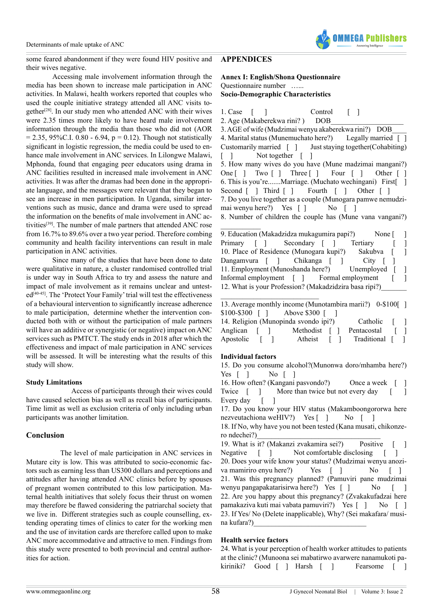

some feared abandonment if they were found HIV positive and their wives negative.

Accessing male involvement information through the media has been shown to increase male participation in ANC activities. In Malawi, health workers reported that couples who used the couple initiative strategy attended all ANC visits together<sup>[28]</sup>. In our study men who attended ANC with their wives were 2.35 times more likely to have heard male involvement information through the media than those who did not (AOR  $= 2.35, 95\%$ C.I. 0.80 - 6.94, p = 0.12). Though not statistically significant in logistic regression, the media could be used to enhance male involvement in ANC services. In Lilongwe Malawi, Mphonda, found that engaging peer educators using drama in ANC facilities resulted in increased male involvement in ANC activities. It was after the dramas had been done in the appropriate language, and the messages were relevant that they began to see an increase in men participation. In Uganda, similar interventions such as music, dance and drama were used to spread the information on the benefits of male involvement in ANC activities<sup>[39]</sup>. The number of male partners that attended ANC rose from 16.7% to 89.6% over a two year period. Therefore combing community and health facility interventions can result in male participation in ANC activities.

Since many of the studies that have been done to date were qualitative in nature, a cluster randomised controlled trial is under way in South Africa to try and assess the nature and impact of male involvement as it remains unclear and untested<sup>[40-45]</sup>. The 'Protect Your Family' trial will test the effectiveness of a behavioural intervention to significantly increase adherence to male participation, determine whether the intervention conducted both with or without the participation of male partners will have an additive or synergistic (or negative) impact on ANC services such as PMTCT. The study ends in 2018 after which the effectiveness and impact of male participation in ANC services will be assessed. It will be interesting what the results of this study will show.

#### **Study Limitations**

 Access of participants through their wives could have caused selection bias as well as recall bias of participants. Time limit as well as exclusion criteria of only including urban participants was another limitation.

#### **Conclusion**

 The level of male participation in ANC services in Mutare city is low. This was attributed to socio-economic factors such as earning less than US300 dollars and perceptions and attitudes after having attended ANC clinics before by spouses of pregnant women contributed to this low participation. Maternal health initiatives that solely focus their thrust on women may therefore be flawed considering the patriarchal society that we live in. Different strategies such as couple counselling, extending operating times of clinics to cater for the working men and the use of invitation cards are therefore called upon to make ANC more accommodative and attractive to men. Findings from this study were presented to both provincial and central authorities for action.

# <span id="page-9-0"></span>**APPENDICES**

**Annex I: English/Shona Questionnaire** Questionnaire number …... **Socio-Demographic Characteristics**

1. Case [ ] Control [ ]

2. Age (Makaberekwa rini?) DOB 3. AGE of wife (Mudzimai wenyu akaberekwa rini?) DOB\_\_\_\_ 4. Marital status (Munemuchato here?) Legally married [ ] Customarily married [ ] Just staying together(Cohabiting) [ ] Not together [ ] 5. How many wives do you have (Mune madzimai mangani?) One [ ] Two [ ] Three [ ] Four [ ] Other [ ] 6. This is you're.......Marriage. (Muchato wechingani) First[ ] Second [ ] Third [ ] Fourth [ ] Other [ ] 7. Do you live together as a couple (Munogara pamwe nemudzimai wenyu here?) Yes [ ] No [ ] 8. Number of children the couple has (Mune vana vangani?)

9. Education (Makadzidza mukagumira papi?) None [ ] Primary [ ] Secondary [ ] Tertiary [ ] 10. Place of Residence (Munogara kupi?) Sakubva [ ]<br>Dangamvura [ ] Chikanga [ ] City [ ] Dangamvura [ ] Chikanga [ ] City [ ] 11. Employment (Munoshanda here?) Unemployed [ ] Informal employment [ ] Formal employment [ ] 12. What is your Profession? (Makadzidzira basa ripi?)

\_\_\_\_\_\_\_\_\_\_\_\_\_\_\_\_\_\_\_\_\_\_\_\_\_\_\_ 13. Average monthly income (Munotambira marii?) 0-\$100[ ] \$100-\$300 [ ] Above \$300 [ ] 14. Religion (Munopinda svondo ipi?) Catholic [ Anglican [ ] Methodist [ ] Pentacostal [ ] Apostolic [ ] Atheist [ ] Traditional [ ]

#### **Individual factors**

 $\mathcal{L}$  , we have the set of  $\mathcal{L}$ 

15. Do you consume alcohol?(Munonwa doro/mhamba here?) Yes [ ] No [ ]

16. How often? (Kangani pasvondo?) Once a week [ ] Twice  $\begin{bmatrix} 1 & \text{More than twice but not every day } \end{bmatrix}$ Every day [ ]

17. Do you know your HIV status (Makamboongororwa here nezveutachiona weHIV?) Yes [ ] No [ ]

18. If No, why have you not been tested (Kana musati, chikonzero ndechei?)

19. What is it? (Makanzi zvakamira sei?) Positive [ ] Negative [ ] Not comfortable disclosing [ ] 20. Does your wife know your status? (Mudzimai wenyu anoziva mamiriro enyu here?) Yes [ ] No [ ] 21. Was this pregnancy planned? (Pamuviri pane mudzimai wenyu pangapakatarisirwa here?) Yes [] No [] 22. Are you happy about this pregnancy? (Zvakakufadzai here pamakaziva kuti mai vabata pamuviri?) Yes [] No [] 23. If Yes/ No (Delete inapplicable), Why? (Sei makafara/ musina kufara?)

#### **Health service factors**

| 24. What is your perception of health worker attitudes to patients |  |  |  |  |  |  |                                                               |              |
|--------------------------------------------------------------------|--|--|--|--|--|--|---------------------------------------------------------------|--------------|
|                                                                    |  |  |  |  |  |  | at the clinic? (Munoona sei mabatirwo avarwere nanamukoti pa- |              |
| kiriniki? Good [ ] Harsh [                                         |  |  |  |  |  |  | Fearsome [                                                    | $\mathbf{I}$ |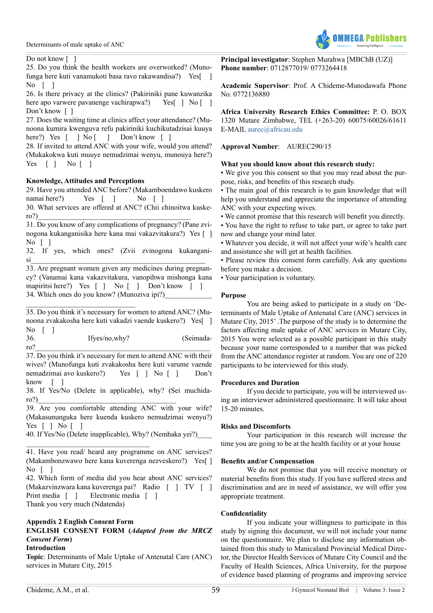

#### Do not know [ ]

25. Do you think the health workers are overworked? (Munofunga here kuti vanamukoti basa ravo rakawandisa?) Yes[ ] No  $\lceil$  1

26. Is there privacy at the clinics? (Pakiriniki pane kuwanzika here apo varwere pavanenge vachirapwa?) Yes[ ] No [ ] Don't know []

27. Does the waiting time at clinics affect your attendance? (Munoona kumira kwenguva refu pakiriniki kuchikutadzisai kuuya here?) Yes [ ] No [ ] Don't know [ ]

28. If invited to attend ANC with your wife, would you attend? (Mukakokwa kuti muuye nemudzimai wenyu, munouya here?) Yes [ ] No [ ]

# **Knowledge, Attitudes and Perceptions**

29. Have you attended ANC before? (Makamboendawo kuskero namai here?) Yes [ ] No [ ]

30. What services are offered at ANC? (Chii chinoitwa kuskero?)\_\_\_\_\_\_\_\_\_\_\_\_\_\_\_\_\_\_\_\_\_\_\_\_\_\_\_\_\_\_\_\_\_\_\_\_\_\_\_\_\_\_

31. Do you know of any complications of pregnancy? (Pane zvinogona kukanganisika here kana mai vakazvitakura?) Yes [ ] No [ ]

32. If yes, which ones? (Zvii zvinogona kukangani- $\mathrm{si}$   $\_\_\_\_\_\_\_$ 

33. Are pregnant women given any medicines during pregnancy? (Vanamai kana vakazvitakura, vanopihwa mishonga kana mapiritsi here?) Yes [ ] No [ ] Don't know [ ] 34. Which ones do you know? (Munoziva ipi?)

\_\_\_\_\_\_\_\_\_\_\_\_\_\_\_\_\_\_\_\_\_\_\_\_\_\_\_\_\_\_ 35. Do you think it's necessary for women to attend ANC? (Munoona zvakakosha here kuti vakadzi vaende kuskero?) Yes[ ] No  $\lceil$  1

| 36  | Ifyes/no,why? | (Seimada- |
|-----|---------------|-----------|
| ro? |               |           |

37. Do you think it's necessary for men to attend ANC with their wives? (Munofunga kuti zvakakosha here kuti varume vaende nemadzimai avo kuskero?) Yes [ ] No [ ] Don't know [ ]

38. If Yes/No (Delete in applicable), why? (Sei muchidaro?)\_\_\_\_\_\_\_\_\_\_\_\_\_\_\_\_\_\_\_\_\_\_\_\_\_\_\_\_\_\_\_\_\_\_\_\_\_\_

39. Are you comfortable attending ANC with your wife? (Makasununguka here kuenda kuskero nemudzimai wenyu?) Yes [ ] No [ ]

40. If Yes/No (Delete inapplicable), Why? (Nemhaka yei?)\_\_\_\_

# **Appendix 2 English Consent Form**

\_\_\_\_\_\_\_\_\_\_\_\_\_\_\_\_\_\_\_\_\_\_\_\_\_\_\_\_\_\_\_\_\_\_

# **ENGLISH CONSENT FORM (***Adapted from the MRCZ Consent Form***)**

#### **Introduction**

**Topic**: Determinants of Male Uptake of Antenatal Care (ANC) services in Mutare City, 2015

**Principal investigator**: Stephen Murahwa [MBChB (UZ)] **Phone number**: 0712877019/ 0773264418

**Academic Supervisor**: Prof. A Chideme-Munodawafa Phone No. 0772136880

**Africa University Research Ethics Committee:** P. O. BOX 1320 Mutare Zimbabwe, TEL (+263-20) 60075/60026/61611 E-MAIL [aurec@africau.edu](mailto:aurec@africau.edu)

# **Approval Number**: AUREC290/15

# **What you should know about this research study:**

• We give you this consent so that you may read about the purpose, risks, and benefits of this research study.

• The main goal of this research is to gain knowledge that will help you understand and appreciate the importance of attending ANC with your expecting wives.

• We cannot promise that this research will benefit you directly.

• You have the right to refuse to take part, or agree to take part now and change your mind later.

• Whatever you decide, it will not affect your wife's health care and assistance she will get at health facilities.

• Please review this consent form carefully. Ask any questions before you make a decision.

• Your participation is voluntary.

# **Purpose**

You are being asked to participate in a study on 'Determinants of Male Uptake of Antenatal Care (ANC) services in Mutare City, 2015' .The purpose of the study is to determine the factors affecting male uptake of ANC services in Mutare City, 2015 You were selected as a possible participant in this study because your name corresponded to a number that was picked from the ANC attendance register at random. You are one of 220 participants to be interviewed for this study.

#### **Procedures and Duration**

If you decide to participate, you will be interviewed using an interviewer administered questionnaire. It will take about 15-20 minutes.

#### **Risks and Discomforts**

Your participation in this research will increase the time you are going to be at the health facility or at your house

# **Benefits and/or Compensation**

We do not promise that you will receive monetary or material benefits from this study. If you have suffered stress and discrimination and are in need of assistance, we will offer you appropriate treatment.

# **Confidentiality**

If you indicate your willingness to participate in this study by signing this document, we will not include your name on the questionnaire. We plan to disclose any information obtained from this study to Manicaland Provincial Medical Director, the Director Health Services of Mutare City Council and the Faculty of Health Sciences, Africa University, for the purpose of evidence based planning of programs and improving service

<sup>41.</sup> Have you read/ heard any programme on ANC services? (Makambonzwawo here kana kuverenga nezveskero?) Yes[ ] No  $\lceil$   $\rceil$ 

<sup>42.</sup> Which form of media did you hear about ANC services? (Makazvinzwara kana kuverenga pai? Radio [ ] TV [ ] Print media [ ] Electronic media [ ] Thank you very much (Ndatenda)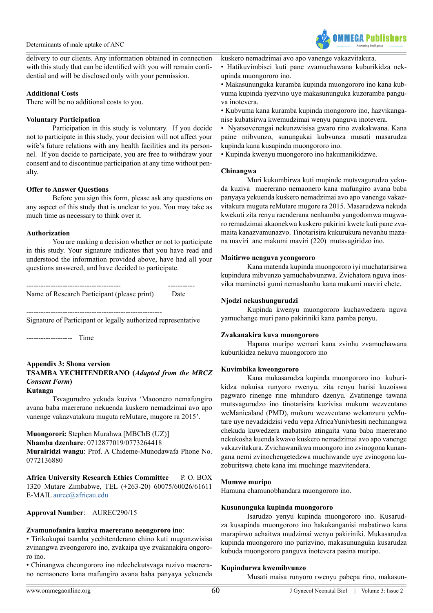

delivery to our clients. Any information obtained in connection with this study that can be identified with you will remain confidential and will be disclosed only with your permission.

#### **Additional Costs**

There will be no additional costs to you.

#### **Voluntary Participation**

Participation in this study is voluntary. If you decide not to participate in this study, your decision will not affect your wife's future relations with any health facilities and its personnel. If you decide to participate, you are free to withdraw your consent and to discontinue participation at any time without penalty.

#### **Offer to Answer Questions**

Before you sign this form, please ask any questions on any aspect of this study that is unclear to you. You may take as much time as necessary to think over it.

#### **Authorization**

You are making a decision whether or not to participate in this study. Your signature indicates that you have read and understood the information provided above, have had all your questions answered, and have decided to participate.

| Name of Research Participant (please print) | Date |
|---------------------------------------------|------|

--------------------------------------------------------

Signature of Participant or legally authorized representative

------------------- Time

#### **Appendix 3: Shona version TSAMBA YECHITENDERANO (***Adapted from the MRCZ Consent Form***) Kutanga**

Tsvagurudzo yekuda kuziva 'Maoonero nemafungiro avana baba maererano nekuenda kuskero nemadzimai avo apo vanenge vakazvatakura muguta reMutare, mugore ra 2015'.

#### **Muongorori:** Stephen Murahwa [MBChB (UZ)]

**Nhamba dzenhare**: 0712877019/0773264418

**Murairidzi wangu**: Prof. A Chideme-Munodawafa Phone No. 0772136880

**Africa University Research Ethics Committee** P. O. BOX 1320 Mutare Zimbabwe, TEL (+263-20) 60075/60026/61611 E-MAIL [aurec@africau.edu](mailto:aurec@africau.edu)

**Approval Number**: AUREC290/15

#### **Zvamunofanira kuziva maererano neongororo ino**:

• Tirikukupai tsamba yechitenderano chino kuti mugonzwisisa zvinangwa zveongororo ino, zvakaipa uye zvakanakira ongororo ino.

• Chinangwa cheongororo ino ndechekutsvaga ruzivo maererano nemaonero kana mafungiro avana baba panyaya yekuenda

- Hatikuvimbisei kuti pane zvamuchawana kuburikidza nekupinda muongororo ino.
- Makasununguka kuramba kupinda muongororo ino kana kubvuma kupinda iyezvino uye makasununguka kuzoramba panguva inotevera.
- Kubvuma kana kuramba kupinda mongororo ino, hazvikanganise kubatsirwa kwemudzimai wenyu panguva inotevera.

• Nyatsoverengai nekunzwisisa gwaro rino zvakakwana. Kana paine mibvunzo, sunungukai kubvunza musati masarudza kupinda kana kusapinda muongororo ino.

• Kupinda kwenyu muongororo ino hakumanikidzwe.

# **Chinangwa**

Muri kukumbirwa kuti mupinde mutsvagurudzo yekuda kuziva maererano nemaonero kana mafungiro avana baba panyaya yekuenda kuskero nemadzimai avo apo vanenge vakazvitakura muguta reMutare mugore ra 2015. Masarudzwa nekuda kwekuti zita renyu raenderana nenhamba yangodomwa mugwaro remadzimai akaonekwa kuskero pakirini kwete kuti pane zvamaita kanazvamunazvo. Tinotarisira kukurukura nevanhu mazana maviri ane makumi maviri (220) mutsvagiridzo ino.

# **Maitirwo nenguva yeongororo**

Kana matenda kupinda muongororo iyi muchatarisirwa kupindura mibvunzo yamuchabvunzwa. Zvichatora nguva inosvika maminetsi gumi nemashanhu kana makumi maviri chete.

# **Njodzi nekushungurudzi**

Kupinda kwenyu muongororo kuchawedzera nguva yamuchange muri pano pakiriniki kana pamba penyu.

# **Zvakanakira kuva muongororo**

Hapana muripo wemari kana zvinhu zvamuchawana kuburikidza nekuva muongororo ino

# **Kuvimbika kweongororo**

Kana mukasarudza kupinda muongororo ino kuburikidza nokuisa runyoro rwenyu, zita renyu harisi kuzoiswa pagwaro rinenge rine mhinduro dzenyu. Zvatinenge tawana mutsvagurudzo ino tinotarisira kuzivisa mukuru wezveutano weManicaland (PMD), mukuru wezveutano wekanzuru yeMutare uye nevadzidzisi vedu vepa AfricaYunivhesiti nechinangwa chekuda kuwedzera mabatsiro atingaita vana baba maererano nekukosha kuenda kwavo kuskero nemadzimai avo apo vanenge vakazvitakura. Zvichawanikwa muongoro ino zvinogona kunangana nemi zvinochengetedzwa muchiwande uye zvinogona kuzoburitswa chete kana imi muchinge mazvitendera.

#### **Mumwe muripo**

Hamuna chamunobhandara muongororo ino.

#### **Kusununguka kupinda muongororo**

Isarudzo yenyu kupinda muongororo ino. Kusarudza kusapinda muongororo ino hakukanganisi mabatirwo kana marapirwo achaitwa mudzimai wenyu pakiriniki. Mukasarudza kupinda muongororo ino parizvino, makasununguka kusarudza kubuda muongororo panguva inotevera pasina muripo.

# **Kupindurwa kwemibvunzo**

Musati maisa runyoro rwenyu pabepa rino, makasun-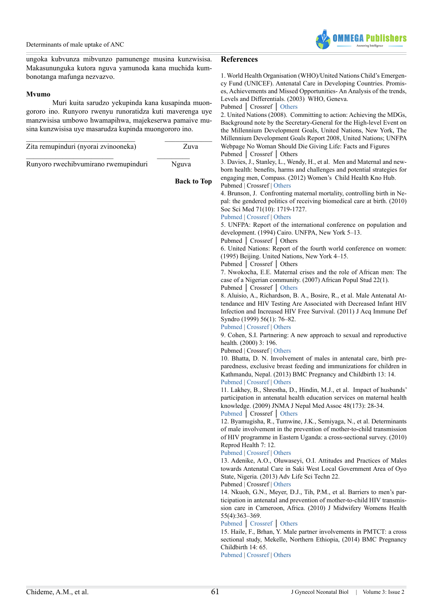

ungoka kubvunza mibvunzo pamunenge musina kunzwisisa. Makasununguka kutora nguva yamunoda kana muchida kumbonotanga mafunga nezvazvo.

#### **Mvumo**

Muri kuita sarudzo yekupinda kana kusapinda muongororo ino. Runyoro rwenyu runoratidza kuti maverenga uye manzwisisa umbowo hwamapihwa, majekeserwa pamaive musina kunzwisisa uye masarudza kupinda muongororo ino.

| Zita remupinduri (nyorai zvinooneka) | Zuva  |  |
|--------------------------------------|-------|--|
| Runyoro rwechibvumirano rwemupinduri | Nguva |  |

**Back to To[p](#page-3-0)**

#### **References**

<span id="page-12-0"></span>1. World Health Organisation (WHO)/United Nations Child's Emergency Fund (UNICEF). Antenatal Care in Developing Countries. Promises, Achievements and Missed Opportunities- An Analysis of the trends, Levels and Differentials. (2003) WHO, Geneva.

Pubmed │ Crossref │ [Others](http://www.who.int/reproductivehealth/publications/maternal_perinatal_health/9241590947/en/)

<span id="page-12-1"></span>2. United Nations (2008). Committing to action: Achieving the MDGs, Background note by the Secretary-General for the High-level Event on the Millennium Development Goals, United Nations, New York, The Millennium Development Goals Report 2008, United Nations; UNFPA Webpage No Woman Should Die Giving Life: Facts and Figures Pubmed │ Crossref │ Others

<span id="page-12-2"></span>3. Davies, J., Stanley, L., Wendy, H., et al. Men and Maternal and newborn health: benefits, harms and challenges and potential strategies for engaging men, Compass. (2012) Women's Child Health Kno Hub. Pubmed | Crossref | [Others](http://www.comminit.com/content/men-and-maternal-and-newborn-health-benefits-harms-challenges-and-potential-strategies-e)

<span id="page-12-3"></span>4. Brunson, J. Confronting maternal mortality, controlling birth in Nepal: the gendered politics of receiving biomedical care at birth. (2010) Soc Sci Med 71(10): 1719-1727.

#### [Pubmed](https://www.ncbi.nlm.nih.gov/pubmed/20713304) | [Crossref](https://doi.org/10.1016/j.socscimed.2010.06.013) | [Others](http://www.sciencedirect.com/science/article/pii/S027795361000479X?via%3Dihub)

<span id="page-12-4"></span>5. UNFPA: Report of the international conference on population and development. (1994) Cairo. UNFPA, New York 5–13.

Pubmed │ Crossref │ Others

<span id="page-12-5"></span>6. United Nations: Report of the fourth world conference on women: (1995) Beijing. United Nations, New York 4–15.

Pubmed │ Crossref │ Others

<span id="page-12-6"></span>7. Nwokocha, E.E. Maternal crises and the role of African men: The case of a Nigerian community. (2007) African Popul Stud 22(1).

Pubmed │ Crossref │ [Others](https://www.researchgate.net/publication/27794250_Maternal_Crises_and_the_Role_of_African_Men_The_Case_of_a_Nigerian_Community)

<span id="page-12-7"></span>8. Aluisio, A., Richardson, B. A., Bosire, R., et al. Male Antenatal Attendance and HIV Testing Are Associated with Decreased Infant HIV Infection and Increased HIV Free Survival. (2011) J Acq Immune Def Syndro (1999) 56(1): 76–82.

[Pubmed](https://www.ncbi.nlm.nih.gov/pubmed/21084999) | [Crossref](https://doi.org/10.1097/QAI.0b013e3181fdb4c4) | [Others](https://insights.ovid.com/pubmed?pmid=21084999)

<span id="page-12-8"></span>9. Cohen, S.I. Partnering: A new approach to sexual and reproductive health. (2000) 3: 196.

Pubmed | Crossref | [Others](http://www.unfpa.org/publications/partnering-new-approach-sexual-and-reproductive-health)

<span id="page-12-9"></span>10. Bhatta, D. N. Involvement of males in antenatal care, birth preparedness, exclusive breast feeding and immunizations for children in Kathmandu, Nepal. (2013) BMC Pregnancy and Childbirth 13: 14. [Pubmed](https://www.ncbi.nlm.nih.gov/pubmed/23324410) | [Crossref](https://doi.org/10.1186/1471-2393-13-14) | [Others](https://bmcpregnancychildbirth.biomedcentral.com/articles/10.1186/1471-2393-13-14)

11. Lakhey, B., Shrestha, D., Hindin, M.J., et al. Impact of husbands' participation in antenatal health education services on maternal health knowledge. (2009) JNMA J Nepal Med Assoc 48(173): 28-34.

[Pubmed](https://www.ncbi.nlm.nih.gov/pubmed/19529055) │ Crossref │ [Others](https://www.researchgate.net/publication/26294389_Impact_of_husbands%27_participation_in_antenatal_health_education_services_on_maternal_health_knowledge_Impact_of_husbands%27_participation_in_antenatal_health_education_services_on_maternal_health_knowle)

<span id="page-12-10"></span>12. Byamugisha, R., Tumwine, J.K., Semiyaga, N., et al. Determinants of male involvement in the prevention of mother-to-child transmission of HIV programme in Eastern Uganda: a cross-sectional survey. (2010) Reprod Health 7: 12.

#### [Pubmed](https://www.ncbi.nlm.nih.gov/pubmed/20573250) | [Crossref](https://doi.org/10.1186/1742-4755-7-12) | [Others](https://reproductive-health-journal.biomedcentral.com/articles/10.1186/1742-4755-7-12)

<span id="page-12-12"></span>13. Adenike, A.O., Oluwaseyi, O.I. Attitudes and Practices of Males towards Antenatal Care in Saki West Local Government Area of Oyo State, Nigeria. (2013) Adv Life Sci Techn 22.

Pubmed | Crossref | [Others](http://www.iiste.org/Journals/index.php/ALST/article/view/14083)

<span id="page-12-11"></span>14. Nkuoh, G.N., Meyer, D.J., Tih, P.M., et al. Barriers to men's participation in antenatal and prevention of mother-to-child HIV transmission care in Cameroon, Africa. (2010) J Midwifery Womens Health 55(4):363–369.

[Pubmed](https://www.ncbi.nlm.nih.gov/pubmed/20630363) │ [Crossref](https://doi.org/10.1016/j.jmwh.2010.02.009) │ [Others](http://www.sciencedirect.com/science/article/pii/S1526952310000620)

<span id="page-12-13"></span>15. Haile, F., Brhan, Y. Male partner involvements in PMTCT: a cross sectional study, Mekelle, Northern Ethiopia, (2014) BMC Pregnancy Childbirth 14: 65.

[Pubmed](https://www.ncbi.nlm.nih.gov/pubmed/24521216) | [Crossref](https://doi.org/10.1186/1471-2393-14-65) | [Others](https://bmcpregnancychildbirth.biomedcentral.com/articles/10.1186/1471-2393-14-65)